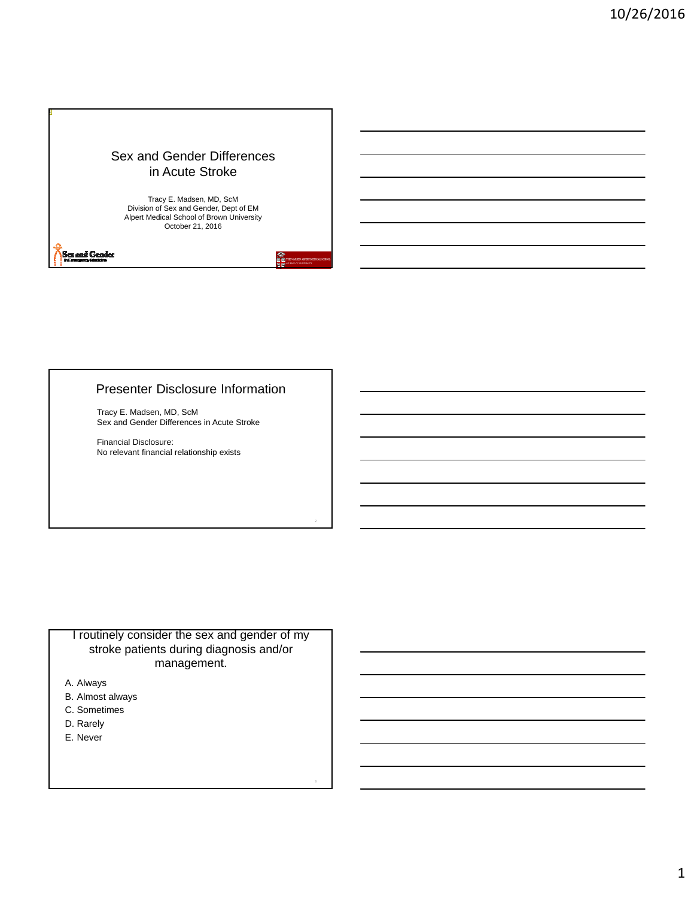# Sex and Gender Differences in Acute Stroke

Tracy E. Madsen, MD, ScM Division of Sex and Gender, Dept of EM Alpert Medical School of Brown University October 21, 2016

Sex and Gender

## Presenter Disclosure Information

Tracy E. Madsen, MD, ScM Sex and Gender Differences in Acute Stroke

Financial Disclosure: No relevant financial relationship exists

## I routinely consider the sex and gender of my stroke patients during diagnosis and/or management.

A. Always

- B. Almost always
- C. Sometimes
- D. Rarely
- E. Never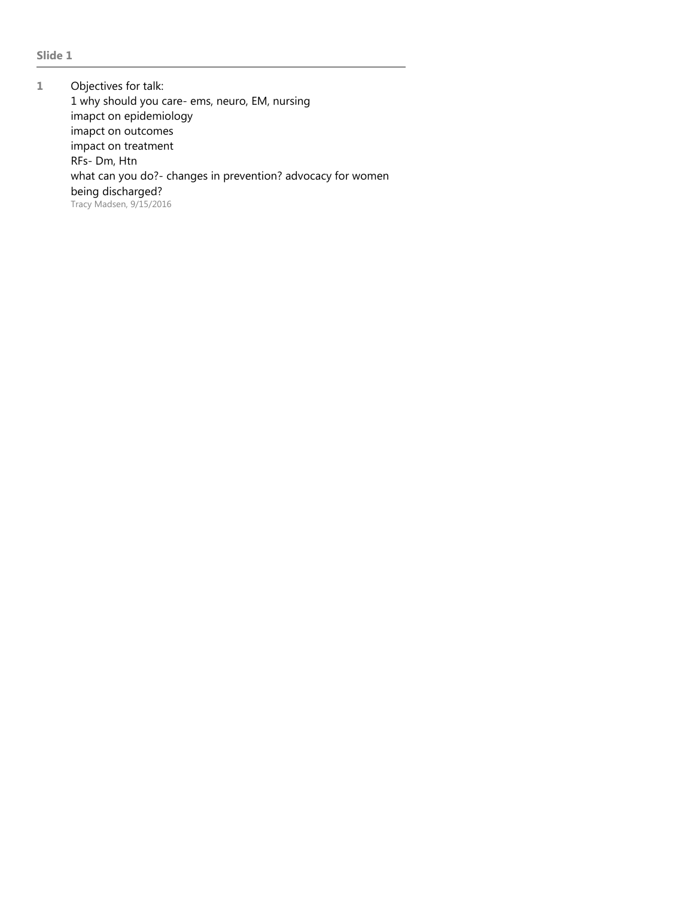**Slide 1**

**1** Objectives for talk: 1 why should you care- ems, neuro, EM, nursing imapct on epidemiology imapct on outcomes impact on treatment RFs- Dm, Htn what can you do?- changes in prevention? advocacy for women being discharged? Tracy Madsen, 9/15/2016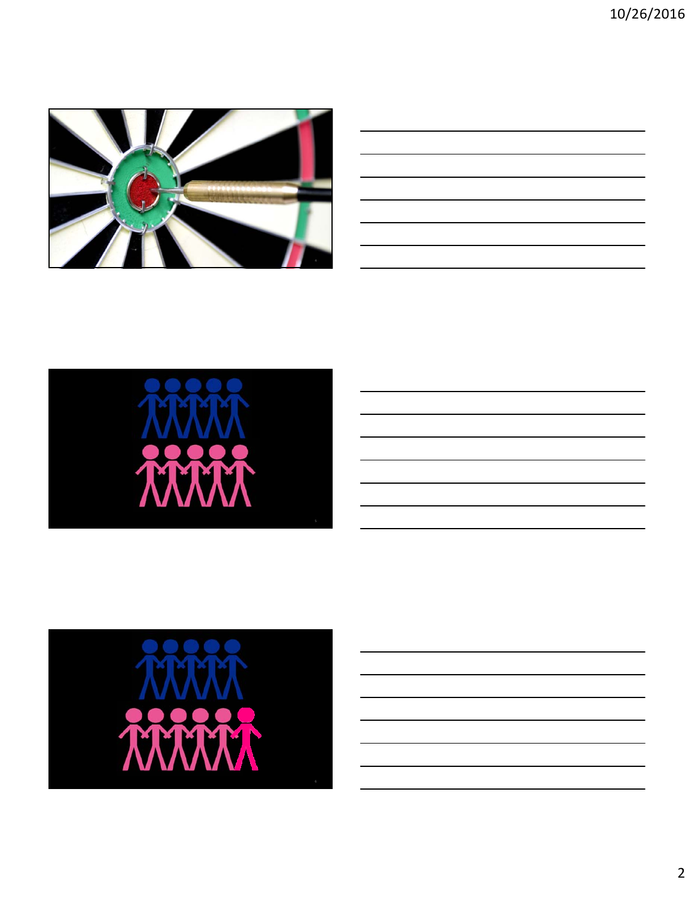<u> 1989 - Johann Barbara, martxa a</u>

<u> 1989 - Johann Barbara, martxa amerikan per</u>





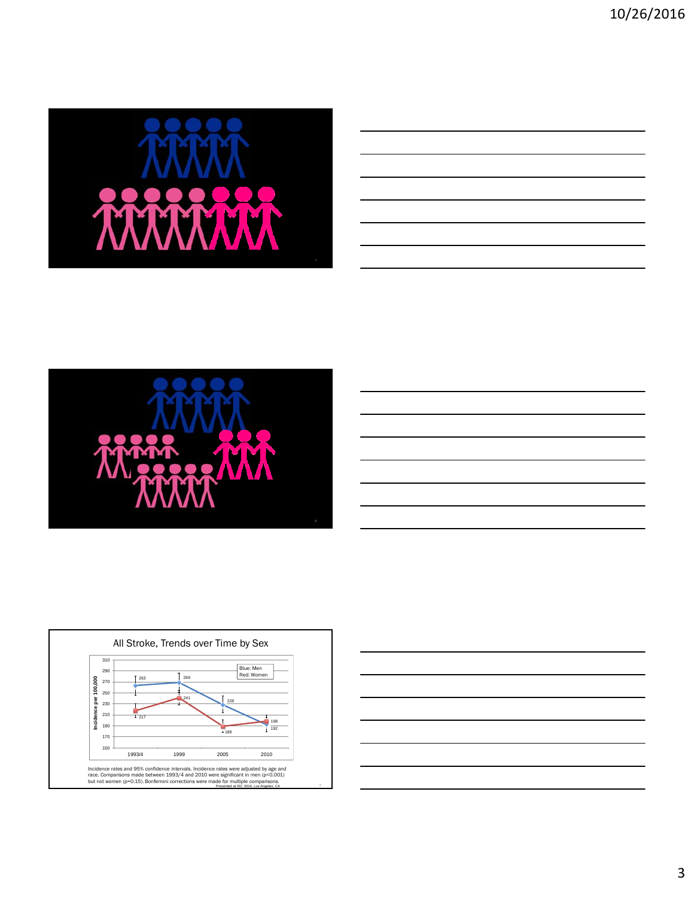





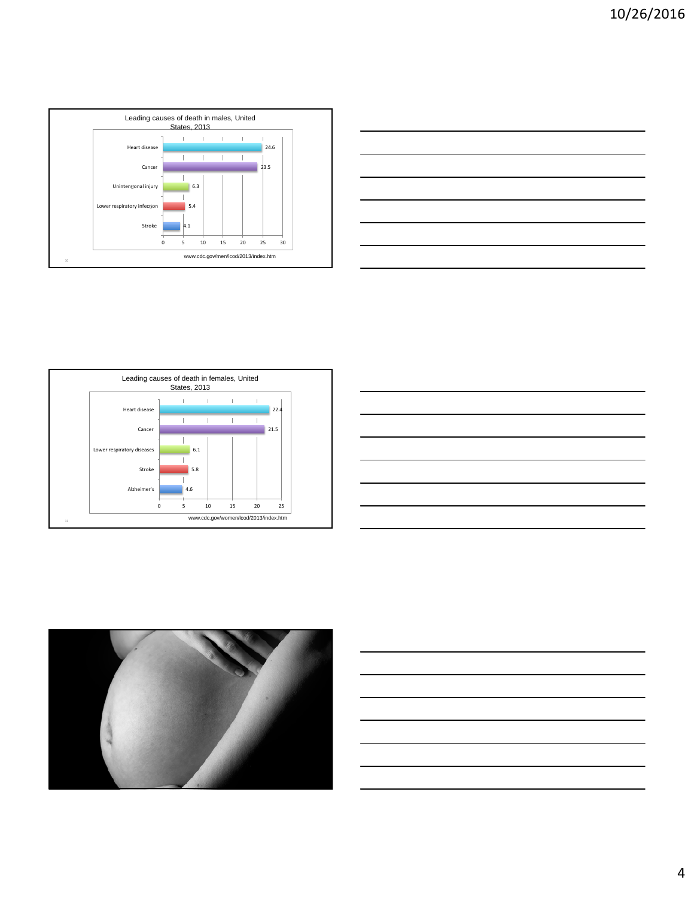







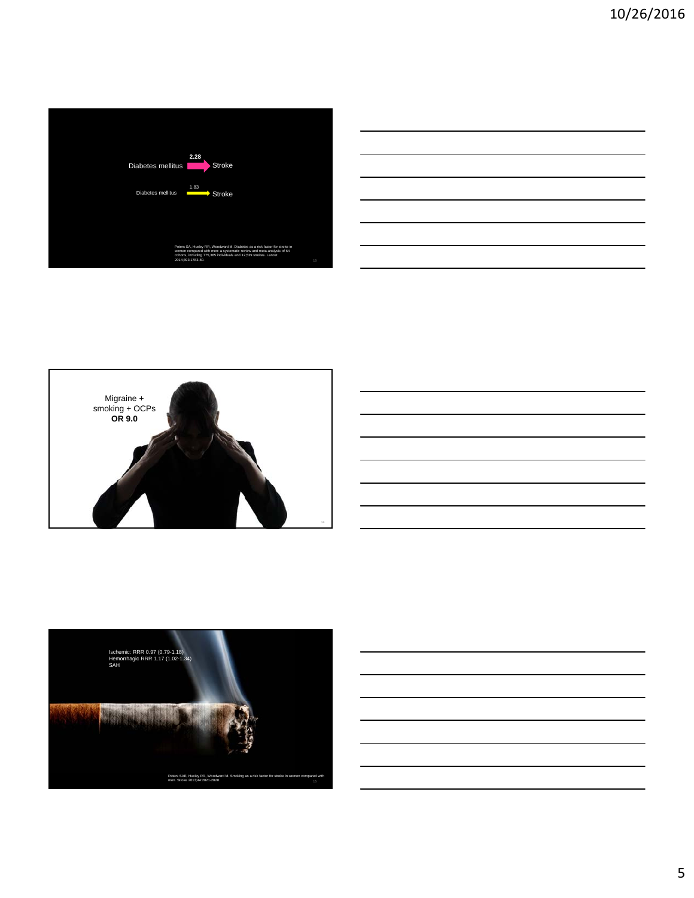

| <u> 1989 - Andrea Stadt Britain, amerikansk politik (</u> |  | $\overline{\phantom{a}}$ . The contract of $\overline{\phantom{a}}$ |  |
|-----------------------------------------------------------|--|---------------------------------------------------------------------|--|
|                                                           |  |                                                                     |  |
|                                                           |  |                                                                     |  |
|                                                           |  |                                                                     |  |
|                                                           |  |                                                                     |  |





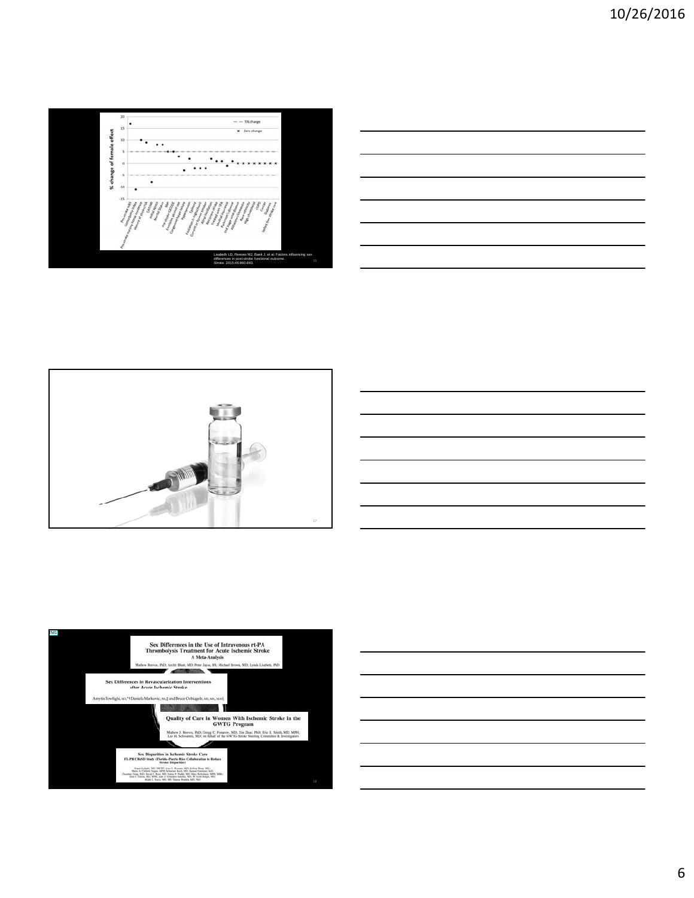









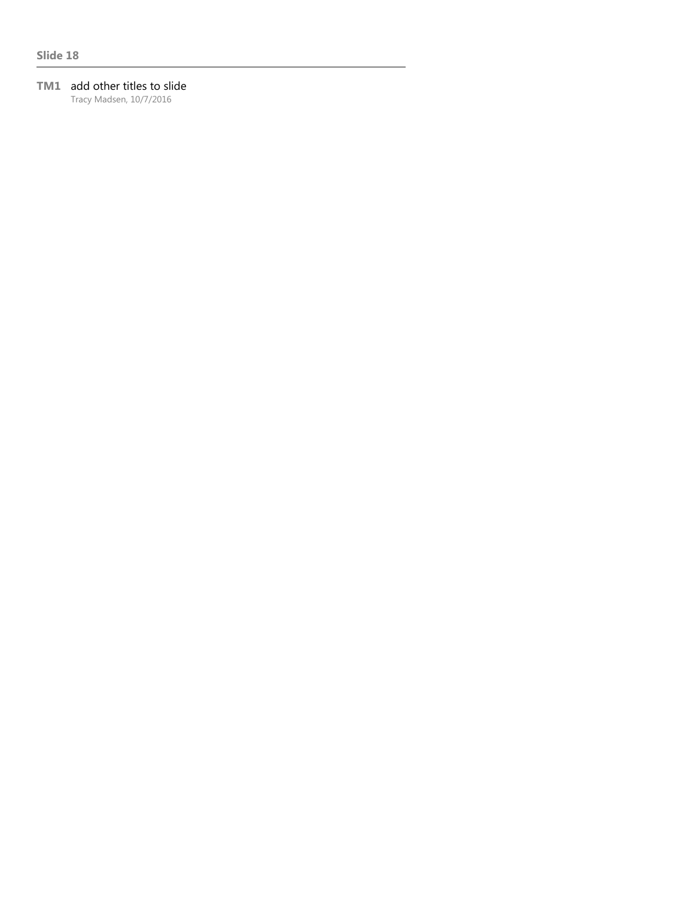#### **TM1** add other titles to slide

Tracy Madsen, 10/7/2016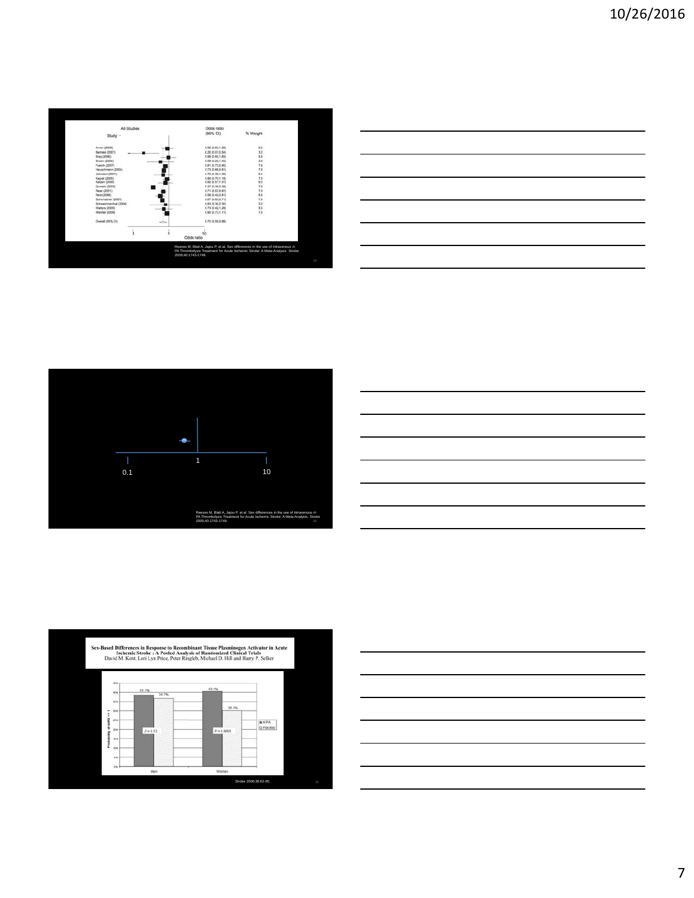









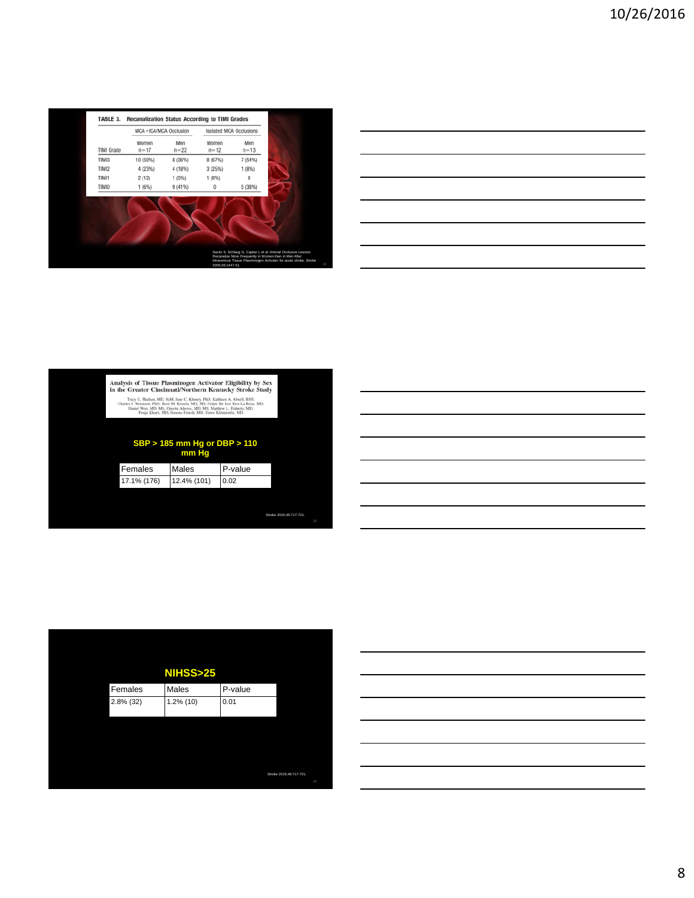| Men<br>Men<br>Women<br>Women<br><b>TIMI Grade</b><br>$n = 17$<br>$n = 22$<br>$n = 12$<br>$n = 13$ |
|---------------------------------------------------------------------------------------------------|
| 8 (36%)<br>8 (67%)<br>7 (54%)<br>TIMI3<br>10 (59%)                                                |
| TIMI2<br>1(8%)<br>4 (23%)<br>4 (18%)<br>3 (25%)                                                   |
| TIMI1<br>2(12)<br>1(5%)<br>1(8%)<br>o                                                             |
| 5 (38%)<br>TIMIO<br>1(6%)<br>9(41%)<br>0                                                          |
|                                                                                                   |

| the contract of the contract of the contract of the contract of the contract of the contract of the contract of         |                                                                                                                       |
|-------------------------------------------------------------------------------------------------------------------------|-----------------------------------------------------------------------------------------------------------------------|
|                                                                                                                         |                                                                                                                       |
| <u> 1989 - Johann Stoff, amerikansk politiker (d. 1989)</u>                                                             |                                                                                                                       |
| <u> 1989 - Johann Harry Harry Harry Harry Harry Harry Harry Harry Harry Harry Harry Harry Harry Harry Harry Harry</u>   |                                                                                                                       |
| <u> 1989 - Johann Harry Harry Harry Harry Harry Harry Harry Harry Harry Harry Harry Harry Harry Harry Harry Harry</u>   |                                                                                                                       |
| <u> 1989 - Johann Harry Harry Harry Harry Harry Harry Harry Harry Harry Harry Harry Harry Harry Harry Harry Harry H</u> |                                                                                                                       |
|                                                                                                                         | <u> 1989 - Johann Stoff, deutscher Stoff, der Stoff, der Stoff, der Stoff, der Stoff, der Stoff, der Stoff, der S</u> |
| and the control of the control of the control of the control of the control of the control of the control of the        |                                                                                                                       |

| Analysis of Tissue Plasminogen Activator Eligibility by Sex<br>in the Greater Cincinnati/Northern Kentucky Stroke Study<br>Tracy E. Madson, MD, ScM; Jane C. Khoury, PhD; Kathleen A. Alwell, BSN;<br>Charles J. Moomaw, PhD; Brett M. Kissela, MD, MS; Felipe De Los Rios La Rosa, MD;<br>Daniel Woo, MD, MS; Opeola Adeose, MD, MS; Matthew L. Flaberty, MD;<br>Pooja Khatri, MD; Simona Ferioli, MD; Dawn Kleindorfer, MD |                                       |         |  |  |
|------------------------------------------------------------------------------------------------------------------------------------------------------------------------------------------------------------------------------------------------------------------------------------------------------------------------------------------------------------------------------------------------------------------------------|---------------------------------------|---------|--|--|
|                                                                                                                                                                                                                                                                                                                                                                                                                              | SBP > 185 mm Hg or DBP > 110<br>mm Hg |         |  |  |
| Females                                                                                                                                                                                                                                                                                                                                                                                                                      | Males                                 | P-value |  |  |
|                                                                                                                                                                                                                                                                                                                                                                                                                              |                                       |         |  |  |
| 17.1% (176)                                                                                                                                                                                                                                                                                                                                                                                                                  | 12.4% (101)                           | 0.02    |  |  |

|           | <b>NIHSS&gt;25</b> |         |                         |    |
|-----------|--------------------|---------|-------------------------|----|
| Females   | Males              | P-value |                         |    |
| 2.8% (32) | 1.2% (10)          | 0.01    |                         |    |
|           |                    |         |                         |    |
|           |                    |         |                         |    |
|           |                    |         |                         |    |
|           |                    |         | Stroke 2015;46:717-721. | 24 |

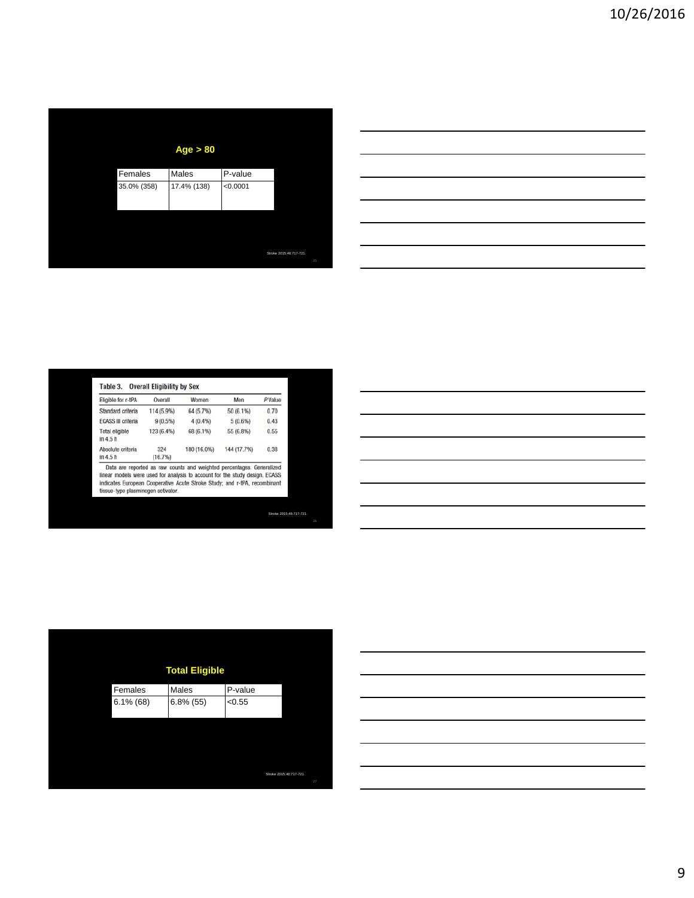|             | Age > 80    |          |                         |    |
|-------------|-------------|----------|-------------------------|----|
| Females     | Males       | P-value  |                         |    |
| 35.0% (358) | 17.4% (138) | < 0.0001 |                         |    |
|             |             |          |                         |    |
|             |             |          | Stroke 2015;46:717-721. | 25 |

| <u> 1989 - Johann Harry Harry Harry Harry Harry Harry Harry Harry Harry Harry Harry Harry Harry Harry Harry Harry</u>                                                |  |  |
|----------------------------------------------------------------------------------------------------------------------------------------------------------------------|--|--|
| <u> 1989 - Jan Samuel Barbara, margaret e a seu a componente de la componentación de la componentación de la comp</u>                                                |  |  |
| <u> 1989 - Jan Barbara de Santo Alemania de la contrada de la contrada de la contrada de la contrada de la contra</u>                                                |  |  |
|                                                                                                                                                                      |  |  |
| <u> 1989 - Johann Stoff, amerikansk politiker (d. 1989)</u>                                                                                                          |  |  |
| ,我们的人们也不会有什么?""我们的人们,我们也不会有什么?""我们的人们,我们的人们也不会有什么?""我们的人们,我们的人们的人们,我们的人们的人们,我们的人<br>第2012章 我们的人们的人们,我们的人们的人们的人们,我们的人们的人们的人们,我们的人们的人们的人们,我们的人们的人们的人们,我们的人们的人们的人们,我们的人 |  |  |
|                                                                                                                                                                      |  |  |

| 114 (5.9%)<br>0.70<br>Standard criteria<br>64 (5.7%)<br>50 (6.1%)<br><b>ECASS III criteria</b><br>0.43<br>9(0.5%)<br>5(0.6%)<br>4 (0.4%) |
|------------------------------------------------------------------------------------------------------------------------------------------|
|                                                                                                                                          |
|                                                                                                                                          |
| 0.55<br><b>Total eligible</b><br>123 (6.4%)<br>68 (6.1%)<br>55 (6.8%)<br>in $4.5h$                                                       |
| Absolute criteria<br>324<br>180 (16.0%)<br>144 (17.7%)<br>0.38<br>in $4.5h$<br>(16.7%)                                                   |

| <u> Album a componente de la componente de la componente de la componente de la componente de la componente de la</u> |                                                             |  |  |  |
|-----------------------------------------------------------------------------------------------------------------------|-------------------------------------------------------------|--|--|--|
|                                                                                                                       |                                                             |  |  |  |
|                                                                                                                       | <u> 1989 - Johann Stoff, amerikansk politiker (d. 1989)</u> |  |  |  |
|                                                                                                                       |                                                             |  |  |  |

|              | <b>Total Eligible</b> |         |                         |    |
|--------------|-----------------------|---------|-------------------------|----|
|              |                       |         |                         |    |
| Females      | Males                 | P-value |                         |    |
| $6.1\%$ (68) | $6.8\%$ (55)          | < 0.55  |                         |    |
|              |                       |         |                         |    |
|              |                       |         |                         |    |
|              |                       |         |                         |    |
|              |                       |         | Stroke 2015;46:717-721. |    |
|              |                       |         |                         | 27 |

| <u> 1989 - Johann John Stone, markin sanadi amerikan bahasa dalam pengaran sebagai pengaran sebagai pengaran seba</u> |                                                                                   |  | the control of the control |
|-----------------------------------------------------------------------------------------------------------------------|-----------------------------------------------------------------------------------|--|----------------------------|
|                                                                                                                       |                                                                                   |  |                            |
|                                                                                                                       |                                                                                   |  |                            |
|                                                                                                                       |                                                                                   |  |                            |
|                                                                                                                       |                                                                                   |  |                            |
|                                                                                                                       | ,我们也不会有一个人的事情。""我们的人,我们也不会有一个人的人,我们也不会有一个人的人,我们也不会有一个人的人,我们也不会有一个人的人,我们也不会有一个人的人, |  |                            |
|                                                                                                                       |                                                                                   |  |                            |
|                                                                                                                       |                                                                                   |  |                            |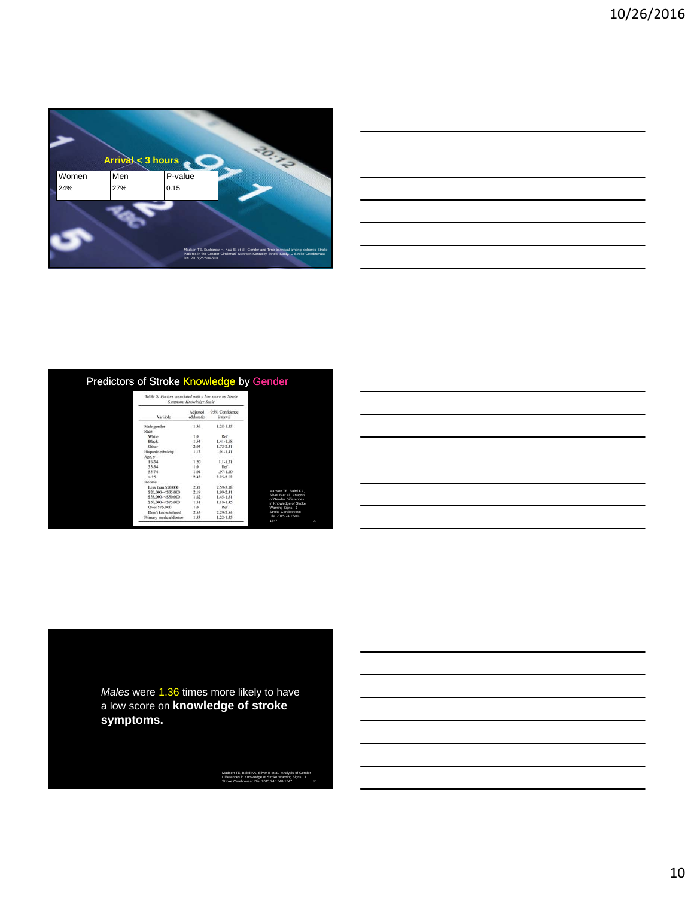

|                                                 | <b>Contract Contract</b> |
|-------------------------------------------------|--------------------------|
|                                                 |                          |
|                                                 |                          |
|                                                 |                          |
|                                                 |                          |
| the contract of the contract of the contract of |                          |

| Predictors of Stroke Knowledge by Gender                |  |
|---------------------------------------------------------|--|
| Table 3. Factors associated with a low score on Stroke. |  |

| Adjusted<br>odds ratio | 95% Confidence<br>interval |                          |                                                                                                          |
|------------------------|----------------------------|--------------------------|----------------------------------------------------------------------------------------------------------|
| 1.36                   | 1.28-1.45                  |                          |                                                                                                          |
|                        |                            |                          |                                                                                                          |
| 1.0                    | Ref                        |                          |                                                                                                          |
| 1.54                   | $1.41 - 1.68$              |                          |                                                                                                          |
| 2.04                   | 1.72-2.41                  |                          |                                                                                                          |
| 1.13                   | 91-1.41                    |                          |                                                                                                          |
|                        |                            |                          |                                                                                                          |
| 1.20                   | $1.1 - 1.31$               |                          |                                                                                                          |
| 1.0                    | Ref                        |                          |                                                                                                          |
| 1.04                   | 97-1.10                    |                          |                                                                                                          |
| 2.43                   | 2.25.2.62                  |                          |                                                                                                          |
|                        |                            |                          |                                                                                                          |
| 2.87                   | 2.59-3.18                  |                          |                                                                                                          |
| 2.19                   | 1,99-2.41                  | Madsen TE. Baird KA.     |                                                                                                          |
| 1.62                   | 1.45-1.81                  |                          |                                                                                                          |
| 1.31                   | 1.18-1.45                  |                          |                                                                                                          |
| 1.0                    | Ref                        |                          |                                                                                                          |
| 2.55                   | 2.29-2.84                  | Stroke Cerebrovasc       |                                                                                                          |
| 1.33                   | 1.22-1.45                  | Dis. 2015:24:1540-       |                                                                                                          |
|                        |                            | Symptoms Knowledge Scale | Silver B et al. Analysis<br>of Gender Differences<br>in Knowledge of Stroke<br>Warning Signs. J<br>1547. |

| Males were 1.36 times more likely to have |
|-------------------------------------------|
| a low score on <b>knowledge of stroke</b> |
| symptoms.                                 |

Madsen TE, Baird KA, Silver B et al. Analysis of Gender Differences in Knowledge of Stroke Warning Signs. J Stroke Cerebrovasc Dis. 2015;24;1540-1547.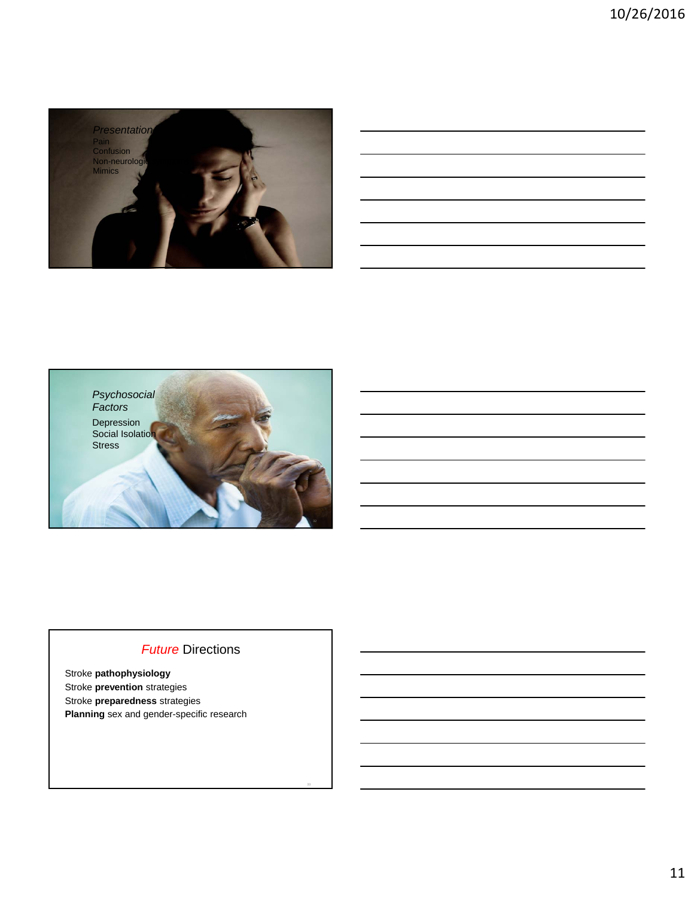



# *Future* Directions

Stroke **pathophysiology** Stroke **prevention** strategies Stroke **preparedness** strategies **Planning** sex and gender-specific research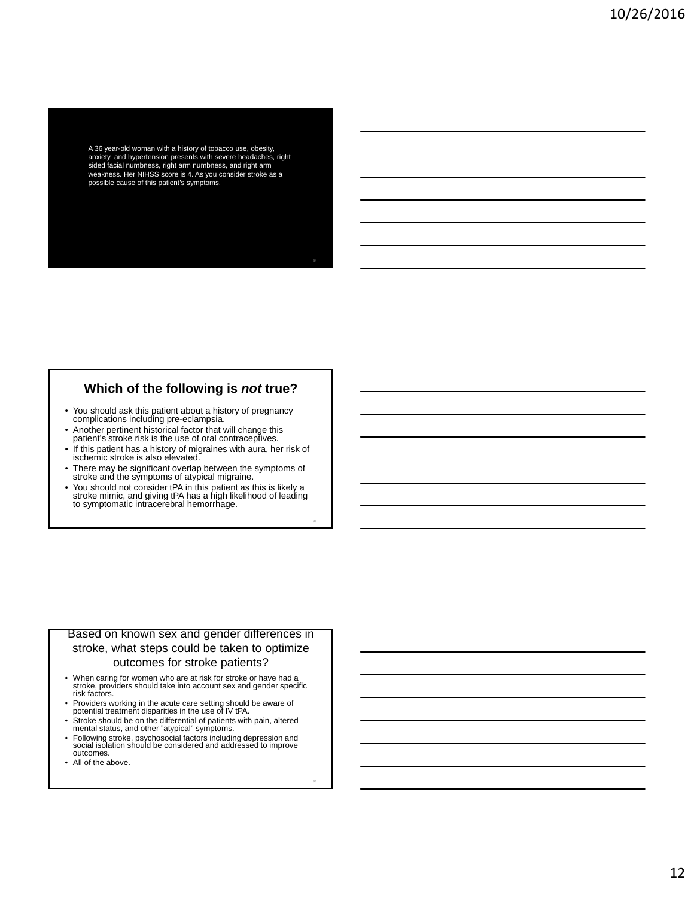A 36 year-old woman with a history of tobacco use, obesity, anxiety, and hypertension presents with severe headaches, right sided facial numbness, right arm numbness, and right arm weakness. Her NIHSS score is 4. As you consider stroke as a possible cause of this patient's symptoms.

## **Which of the following is** *not* **true?**

- You should ask this patient about a history of pregnancy complications including pre-eclampsia.
- Another pertinent historical factor that will change this patient's stroke risk is the use of oral contraceptives.
- If this patient has a history of migraines with aura, her risk of ischemic stroke is also elevated.
- There may be significant overlap between the symptoms of stroke and the symptoms of atypical migraine.
- You should not consider tPA in this patient as this is likely a stroke mimic, and giving tPA has a high likelihood of leading to symptomatic intracerebral hemorrhage.

35

36

### Based on known sex and gender differences in stroke, what steps could be taken to optimize outcomes for stroke patients?

- When caring for women who are at risk for stroke or have had a stroke, providers should take into account sex and gender specific risk factors.
- Providers working in the acute care setting should be aware of potential treatment disparities in the use of IV tPA.
- Stroke should be on the differential of patients with pain, altered mental status, and other "atypical" symptoms.
- Following stroke, psychosocial factors including depression and social isolation should be considered and addressed to improve outcomes.
- All of the above.